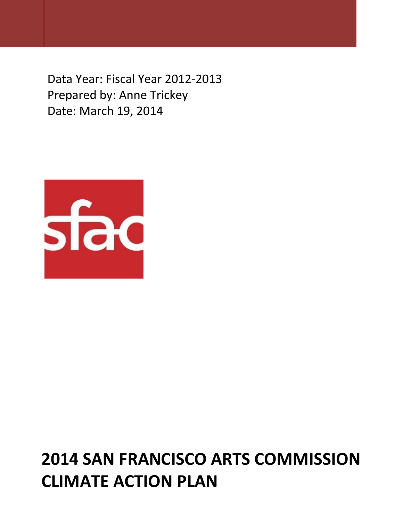Data Year: Fiscal Year 2012-2013 Prepared by: Anne Trickey Date: March 19, 2014



# **2014 SAN FRANCISCO ARTS COMMISSION CLIMATE ACTION PLAN**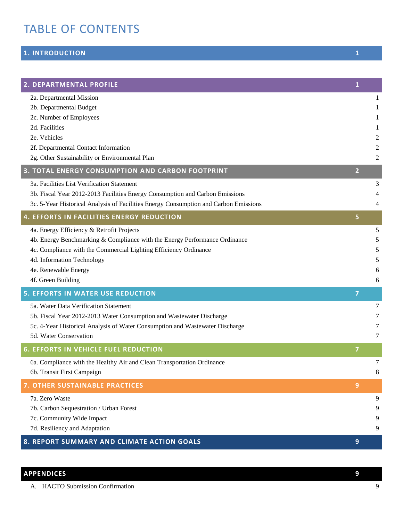# TABLE OF CONTENTS

## **[1. INTRODUCTION](#page-1-0) 1**

I

| 2. DEPARTMENTAL PROFILE                                                              | $\mathbf{1}$   |   |
|--------------------------------------------------------------------------------------|----------------|---|
| 2a. Departmental Mission                                                             |                | 1 |
| 2b. Departmental Budget                                                              |                | 1 |
| 2c. Number of Employees                                                              |                | 1 |
| 2d. Facilities                                                                       |                | 1 |
| 2e. Vehicles                                                                         |                | 2 |
| 2f. Departmental Contact Information                                                 |                | 2 |
| 2g. Other Sustainability or Environmental Plan                                       |                | 2 |
| 3. TOTAL ENERGY CONSUMPTION AND CARBON FOOTPRINT                                     | $\overline{2}$ |   |
| 3a. Facilities List Verification Statement                                           |                | 3 |
| 3b. Fiscal Year 2012-2013 Facilities Energy Consumption and Carbon Emissions         |                | 4 |
| 3c. 5-Year Historical Analysis of Facilities Energy Consumption and Carbon Emissions |                | 4 |
| <b>4. EFFORTS IN FACILITIES ENERGY REDUCTION</b>                                     | 5              |   |
| 4a. Energy Efficiency & Retrofit Projects                                            |                | 5 |
| 4b. Energy Benchmarking & Compliance with the Energy Performance Ordinance           |                | 5 |
| 4c. Compliance with the Commercial Lighting Efficiency Ordinance                     |                | 5 |
| 4d. Information Technology                                                           |                | 5 |
| 4e. Renewable Energy                                                                 |                | 6 |
| 4f. Green Building                                                                   |                | 6 |
| <b>5. EFFORTS IN WATER USE REDUCTION</b>                                             | $\overline{7}$ |   |
| 5a. Water Data Verification Statement                                                |                | 7 |
| 5b. Fiscal Year 2012-2013 Water Consumption and Wastewater Discharge                 |                | 7 |
| 5c. 4-Year Historical Analysis of Water Consumption and Wastewater Discharge         |                | 7 |
| 5d. Water Conservation                                                               |                | 7 |
| <b>6. EFFORTS IN VEHICLE FUEL REDUCTION</b>                                          | $\overline{7}$ |   |
| 6a. Compliance with the Healthy Air and Clean Transportation Ordinance               |                | 7 |
| 6b. Transit First Campaign                                                           |                | 8 |
| <b>7. OTHER SUSTAINABLE PRACTICES</b>                                                | 9              |   |
| 7a. Zero Waste                                                                       |                | 9 |
| 7b. Carbon Sequestration / Urban Forest                                              |                | 9 |
| 7c. Community Wide Impact                                                            |                | 9 |
| 7d. Resiliency and Adaptation                                                        |                | 9 |
| 8. REPORT SUMMARY AND CLIMATE ACTION GOALS                                           | 9              |   |

<span id="page-1-0"></span>

| <b>APPENDICES</b>                    |  |
|--------------------------------------|--|
| <b>HACTO Submission Confirmation</b> |  |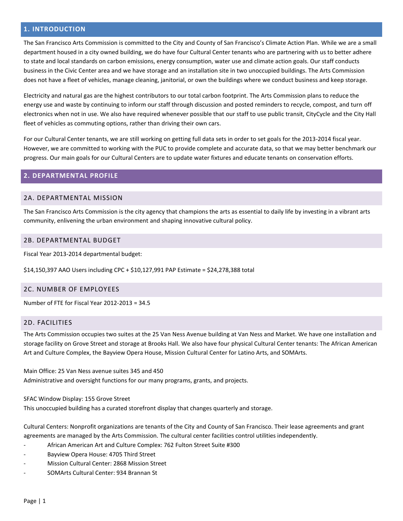#### **1. INTRODUCTION**

<span id="page-2-0"></span>The San Francisco Arts Commission is committed to the City and County of San Francisco's Climate Action Plan. While we are a small department housed in a city owned building, we do have four Cultural Center tenants who are partnering with us to better adhere to state and local standards on carbon emissions, energy consumption, water use and climate action goals. Our staff conducts business in the Civic Center area and we have storage and an installation site in two unoccupied buildings. The Arts Commission does not have a fleet of vehicles, manage cleaning, janitorial, or own the buildings where we conduct business and keep storage.

Electricity and natural gas are the highest contributors to our total carbon footprint. The Arts Commission plans to reduce the energy use and waste by continuing to inform our staff through discussion and posted reminders to recycle, compost, and turn off electronics when not in use. We also have required whenever possible that our staff to use public transit, CityCycle and the City Hall fleet of vehicles as commuting options, rather than driving their own cars.

For our Cultural Center tenants, we are still working on getting full data sets in order to set goals for the 2013-2014 fiscal year. However, we are committed to working with the PUC to provide complete and accurate data, so that we may better benchmark our progress. Our main goals for our Cultural Centers are to update water fixtures and educate tenants on conservation efforts.

#### <span id="page-2-1"></span>**2. DEPARTMENTAL PROFILE**

#### 2A. DEPARTMENTAL MISSION

The San Francisco Arts Commission is the city agency that champions the arts as essential to daily life by investing in a vibrant arts community, enlivening the urban environment and shaping innovative cultural policy.

#### <span id="page-2-2"></span>2B. DEPARTMENTAL BUDGET

<span id="page-2-3"></span>Fiscal Year 2013-2014 departmental budget:

\$14,150,397 AAO Users including CPC + \$10,127,991 PAP Estimate = \$24,278,388 total

#### 2C. NUMBER OF EMPLOYEES

<span id="page-2-4"></span>Number of FTE for Fiscal Year 2012-2013 = 34.5

#### 2D. FACILITIES

<span id="page-2-5"></span>The Arts Commission occupies two suites at the 25 Van Ness Avenue building at Van Ness and Market. We have one installation and storage facility on Grove Street and storage at Brooks Hall. We also have four physical Cultural Center tenants: The African American Art and Culture Complex, the Bayview Opera House, Mission Cultural Center for Latino Arts, and SOMArts.

Main Office: 25 Van Ness avenue suites 345 and 450 Administrative and oversight functions for our many programs, grants, and projects.

#### SFAC Window Display: 155 Grove Street

This unoccupied building has a curated storefront display that changes quarterly and storage.

Cultural Centers: Nonprofit organizations are tenants of the City and County of San Francisco. Their lease agreements and grant agreements are managed by the Arts Commission. The cultural center facilities control utilities independently.

- African American Art and Culture Complex: 762 Fulton Street Suite #300
- Bayview Opera House: 4705 Third Street
- Mission Cultural Center: 2868 Mission Street
- SOMArts Cultural Center: 934 Brannan St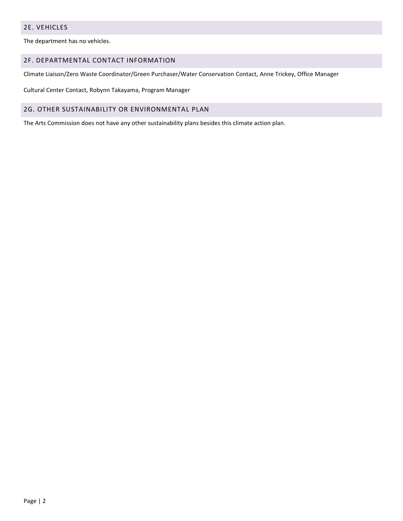#### 2E. VEHICLES

<span id="page-3-0"></span>The department has no vehicles.

#### 2F. DEPARTMENTAL CONTACT INFORMATION

<span id="page-3-1"></span>Climate Liaison/Zero Waste Coordinator/Green Purchaser/Water Conservation Contact, Anne Trickey, Office Manager

Cultural Center Contact, Robynn Takayama, Program Manager

#### 2G. OTHER SUSTAINABILITY OR ENVIRONMENTAL PLAN

<span id="page-3-2"></span>The Arts Commission does not have any other sustainability plans besides this climate action plan.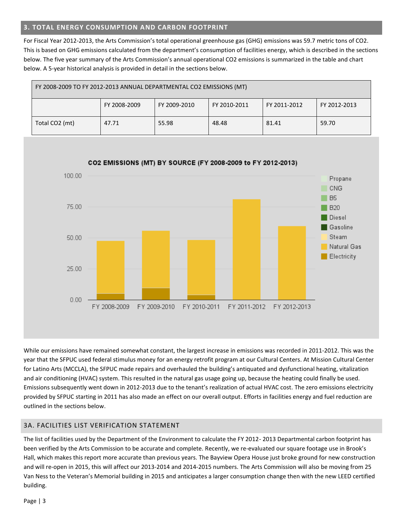#### **3. TOTAL ENERGY CONSUMPTION AND CARBON FOOTPRINT**

For Fiscal Year 2012-2013, the Arts Commission's total operational greenhouse gas (GHG) emissions was 59.7 metric tons of CO2. This is based on GHG emissions calculated from the department's consumption of facilities energy, which is described in the sections below. The five year summary of the Arts Commission's annual operational CO2 emissions is summarized in the table and chart below. A 5-year historical analysis is provided in detail in the sections below.

| FY 2008-2009 TO FY 2012-2013 ANNUAL DEPARTMENTAL CO2 EMISSIONS (MT) |              |              |              |              |              |
|---------------------------------------------------------------------|--------------|--------------|--------------|--------------|--------------|
|                                                                     | FY 2008-2009 | FY 2009-2010 | FY 2010-2011 | FY 2011-2012 | FY 2012-2013 |
| Total CO2 (mt)                                                      | 47.71        | 55.98        | 48.48        | 81.41        | 59.70        |

<span id="page-4-0"></span>

While our emissions have remained somewhat constant, the largest increase in emissions was recorded in 2011-2012. This was the year that the SFPUC used federal stimulus money for an energy retrofit program at our Cultural Centers. At Mission Cultural Center for Latino Arts (MCCLA), the SFPUC made repairs and overhauled the building's antiquated and dysfunctional heating, vitalization and air conditioning (HVAC) system. This resulted in the natural gas usage going up, because the heating could finally be used. Emissions subsequently went down in 2012-2013 due to the tenant's realization of actual HVAC cost. The zero emissions electricity provided by SFPUC starting in 2011 has also made an effect on our overall output. Efforts in facilities energy and fuel reduction are outlined in the sections below.

### 3A. FACILITIES LIST VERIFICATION STATEMENT

<span id="page-4-1"></span>The list of facilities used by the Department of the Environment to calculate the FY 2012- 2013 Departmental carbon footprint has been verified by the Arts Commission to be accurate and complete. Recently, we re-evaluated our square footage use in Brook's Hall, which makes this report more accurate than previous years. The Bayview Opera House just broke ground for new construction and will re-open in 2015, this will affect our 2013-2014 and 2014-2015 numbers. The Arts Commission will also be moving from 25 Van Ness to the Veteran's Memorial building in 2015 and anticipates a larger consumption change then with the new LEED certified building.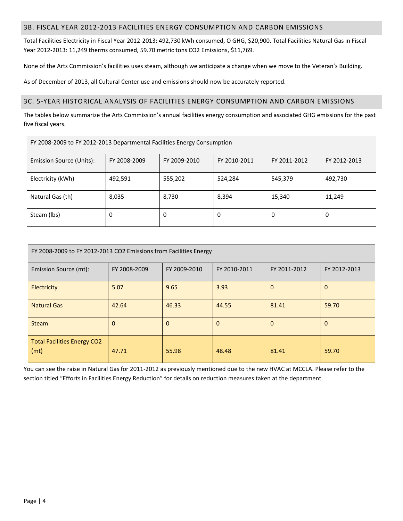#### 3B. FISCAL YEAR 2012-2013 FACILITIES ENERGY CONSUMPTION AND CARBON EMISSIONS

Total Facilities Electricity in Fiscal Year 2012-2013: 492,730 kWh consumed, O GHG, \$20,900. Total Facilities Natural Gas in Fiscal Year 2012-2013: 11,249 therms consumed, 59.70 metric tons CO2 Emissions, \$11,769.

None of the Arts Commission's facilities uses steam, although we anticipate a change when we move to the Veteran's Building.

As of December of 2013, all Cultural Center use and emissions should now be accurately reported.

#### <span id="page-5-0"></span>3C. 5-YEAR HISTORICAL ANALYSIS OF FACILITIES ENERGY CONSUMPTION AND CARBON EMISSIONS

The tables below summarize the Arts Commission's annual facilities energy consumption and associated GHG emissions for the past five fiscal years.

| FY 2008-2009 to FY 2012-2013 Departmental Facilities Energy Consumption                                  |         |         |         |         |         |
|----------------------------------------------------------------------------------------------------------|---------|---------|---------|---------|---------|
| Emission Source (Units):<br>FY 2008-2009<br>FY 2009-2010<br>FY 2010-2011<br>FY 2011-2012<br>FY 2012-2013 |         |         |         |         |         |
| Electricity (kWh)                                                                                        | 492,591 | 555,202 | 524,284 | 545,379 | 492,730 |
| Natural Gas (th)                                                                                         | 8,035   | 8,730   | 8,394   | 15,340  | 11,249  |
| Steam (lbs)                                                                                              | 0       | 0       | 0       | 0       | 0       |

| FY 2008-2009 to FY 2012-2013 CO2 Emissions from Facilities Energy |              |              |              |              |              |
|-------------------------------------------------------------------|--------------|--------------|--------------|--------------|--------------|
| Emission Source (mt):                                             | FY 2008-2009 | FY 2009-2010 | FY 2010-2011 | FY 2011-2012 | FY 2012-2013 |
| Electricity                                                       | 5.07         | 9.65         | 3.93         | $\mathbf{0}$ | $\mathbf 0$  |
| <b>Natural Gas</b>                                                | 42.64        | 46.33        | 44.55        | 81.41        | 59.70        |
| <b>Steam</b>                                                      | 0            | $\Omega$     | $\Omega$     | $\Omega$     | $\Omega$     |
| <b>Total Facilities Energy CO2</b><br>(mt)                        | 47.71        | 55.98        | 48.48        | 81.41        | 59.70        |

You can see the raise in Natural Gas for 2011-2012 as previously mentioned due to the new HVAC at MCCLA. Please refer to the section titled "Efforts in Facilities Energy Reduction" for details on reduction measures taken at the department.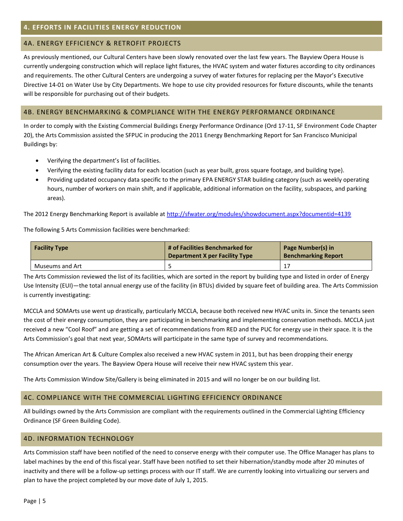### <span id="page-6-1"></span><span id="page-6-0"></span>4A. ENERGY EFFICIENCY & RETROFIT PROJECTS

<span id="page-6-2"></span>As previously mentioned, our Cultural Centers have been slowly renovated over the last few years. The Bayview Opera House is currently undergoing construction which will replace light fixtures, the HVAC system and water fixtures according to city ordinances and requirements. The other Cultural Centers are undergoing a survey of water fixtures for replacing per the Mayor's Executive Directive 14-01 on Water Use by City Departments. We hope to use city provided resources for fixture discounts, while the tenants will be responsible for purchasing out of their budgets.

#### 4B. ENERGY BENCHMARKING & COMPLIANCE WITH THE ENERGY PERFORMANCE ORDINANCE

In order to comply with the Existing Commercial Buildings Energy Performance Ordinance (Ord 17-11, SF Environment Code Chapter 20), the Arts Commission assisted the SFPUC in producing the 2011 Energy Benchmarking Report for San Francisco Municipal Buildings by:

- Verifying the department's list of facilities.
- Verifying the existing facility data for each location (such as year built, gross square footage, and building type).
- Providing updated occupancy data specific to the primary EPA ENERGY STAR building category (such as weekly operating hours, number of workers on main shift, and if applicable, additional information on the facility, subspaces, and parking areas).

The 2012 Energy Benchmarking Report is available a[t http://sfwater.org/modules/showdocument.aspx?documentid=4139](http://sfwater.org/modules/showdocument.aspx?documentid=4139)

The following 5 Arts Commission facilities were benchmarked:

| <b>Facility Type</b> | # of Facilities Benchmarked for<br><b>Department X per Facility Type</b> | Page Number(s) in<br><b>Benchmarking Report</b> |
|----------------------|--------------------------------------------------------------------------|-------------------------------------------------|
| Museums and Art      |                                                                          |                                                 |

<span id="page-6-3"></span>The Arts Commission reviewed the list of its facilities, which are sorted in the report by building type and listed in order of Energy Use Intensity (EUI)—the total annual energy use of the facility (in BTUs) divided by square feet of building area. The Arts Commission is currently investigating:

MCCLA and SOMArts use went up drastically, particularly MCCLA, because both received new HVAC units in. Since the tenants seen the cost of their energy consumption, they are participating in benchmarking and implementing conservation methods. MCCLA just received a new "Cool Roof" and are getting a set of recommendations from RED and the PUC for energy use in their space. It is the Arts Commission's goal that next year, SOMArts will participate in the same type of survey and recommendations.

The African American Art & Culture Complex also received a new HVAC system in 2011, but has been dropping their energy consumption over the years. The Bayview Opera House will receive their new HVAC system this year.

The Arts Commission Window Site/Gallery is being eliminated in 2015 and will no longer be on our building list.

#### 4C. COMPLIANCE WITH THE COMMERCIAL LIGHTING EFFICIENCY ORDINANCE

All buildings owned by the Arts Commission are compliant with the requirements outlined in the Commercial Lighting Efficiency Ordinance (SF Green Building Code).

#### <span id="page-6-4"></span>4D. INFORMATION TECHNOLOGY

Arts Commission staff have been notified of the need to conserve energy with their computer use. The Office Manager has plans to label machines by the end of this fiscal year. Staff have been notified to set their hibernation/standby mode after 20 minutes of inactivity and there will be a follow-up settings process with our IT staff. We are currently looking into virtualizing our servers and plan to have the project completed by our move date of July 1, 2015.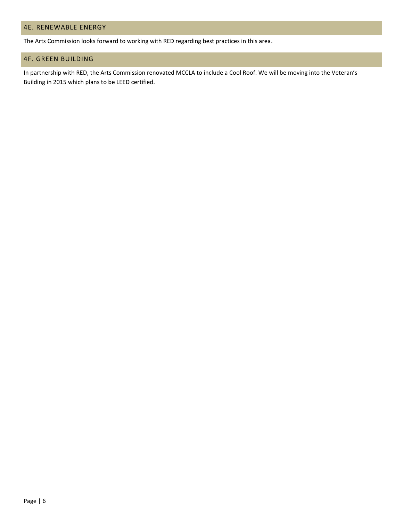#### <span id="page-7-0"></span>4E. RENEWABLE ENERGY

<span id="page-7-1"></span>The Arts Commission looks forward to working with RED regarding best practices in this area.

#### 4F. GREEN BUILDING

In partnership with RED, the Arts Commission renovated MCCLA to include a Cool Roof. We will be moving into the Veteran's Building in 2015 which plans to be LEED certified.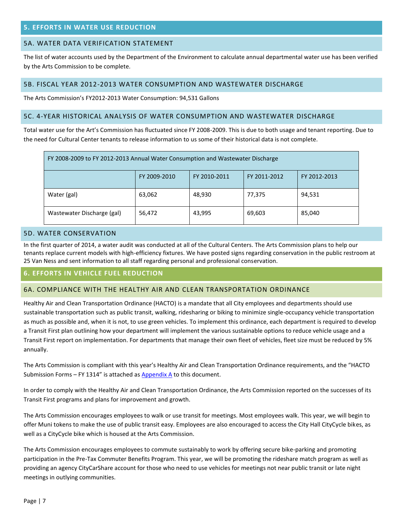#### <span id="page-8-1"></span><span id="page-8-0"></span>5A. WATER DATA VERIFICATION STATEMENT

The list of water accounts used by the Department of the Environment to calculate annual departmental water use has been verified by the Arts Commission to be complete.

#### <span id="page-8-2"></span>5B. FISCAL YEAR 2012-2013 WATER CONSUMPTION AND WASTEWATER DISCHARGE

The Arts Commission's FY2012-2013 Water Consumption: 94,531 Gallons

#### <span id="page-8-3"></span>5C. 4-YEAR HISTORICAL ANALYSIS OF WATER CONSUMPTION AND WASTEWATER DISCHARGE

Total water use for the Art's Commission has fluctuated since FY 2008-2009. This is due to both usage and tenant reporting. Due to the need for Cultural Center tenants to release information to us some of their historical data is not complete.

| FY 2008-2009 to FY 2012-2013 Annual Water Consumption and Wastewater Discharge |              |              |              |              |
|--------------------------------------------------------------------------------|--------------|--------------|--------------|--------------|
|                                                                                | FY 2009-2010 | FY 2010-2011 | FY 2011-2012 | FY 2012-2013 |
| Water (gal)                                                                    | 63,062       | 48,930       | 77,375       | 94,531       |
| Wastewater Discharge (gal)                                                     | 56,472       | 43,995       | 69,603       | 85,040       |

#### <span id="page-8-4"></span>5D. WATER CONSERVATION

In the first quarter of 2014, a water audit was conducted at all of the Cultural Centers. The Arts Commission plans to help our tenants replace current models with high-efficiency fixtures. We have posted signs regarding conservation in the public restroom at 25 Van Ness and sent information to all staff regarding personal and professional conservation.

#### <span id="page-8-5"></span>**6. EFFORTS IN VEHICLE FUEL REDUCTION**

#### <span id="page-8-6"></span>6A. COMPLIANCE WITH THE HEALTHY AIR AND CLEAN TRANSPORTATION ORDINANCE

<span id="page-8-7"></span>Healthy Air and Clean Transportation Ordinance (HACTO) is a mandate that all City employees and departments should use sustainable transportation such as public transit, walking, ridesharing or biking to minimize single-occupancy vehicle transportation as much as possible and, when it is not, to use green vehicles. To implement this ordinance, each department is required to develop a Transit First plan outlining how your department will implement the various sustainable options to reduce vehicle usage and a Transit First report on implementation. For departments that manage their own fleet of vehicles, fleet size must be reduced by 5% annually.

The Arts Commission is compliant with this year's Healthy Air and Clean Transportation Ordinance requirements, and the "HACTO Submission Forms – FY 1314" is attached as [Appendix A](#page-10-6) to this document.

In order to comply with the Healthy Air and Clean Transportation Ordinance, the Arts Commission reported on the successes of its Transit First programs and plans for improvement and growth.

The Arts Commission encourages employees to walk or use transit for meetings. Most employees walk. This year, we will begin to offer Muni tokens to make the use of public transit easy. Employees are also encouraged to access the City Hall CityCycle bikes, as well as a CityCycle bike which is housed at the Arts Commission.

The Arts Commission encourages employees to commute sustainably to work by offering secure bike-parking and promoting participation in the Pre-Tax Commuter Benefits Program. This year, we will be promoting the rideshare match program as well as providing an agency CityCarShare account for those who need to use vehicles for meetings not near public transit or late night meetings in outlying communities.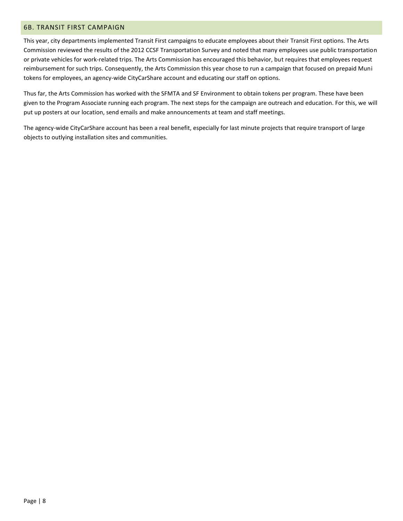#### 6B. TRANSIT FIRST CAMPAIGN

This year, city departments implemented Transit First campaigns to educate employees about their Transit First options. The Arts Commission reviewed the results of the 2012 CCSF Transportation Survey and noted that many employees use public transportation or private vehicles for work-related trips. The Arts Commission has encouraged this behavior, but requires that employees request reimbursement for such trips. Consequently, the Arts Commission this year chose to run a campaign that focused on prepaid Muni tokens for employees, an agency-wide CityCarShare account and educating our staff on options.

Thus far, the Arts Commission has worked with the SFMTA and SF Environment to obtain tokens per program. These have been given to the Program Associate running each program. The next steps for the campaign are outreach and education. For this, we will put up posters at our location, send emails and make announcements at team and staff meetings.

<span id="page-9-0"></span>The agency-wide CityCarShare account has been a real benefit, especially for last minute projects that require transport of large objects to outlying installation sites and communities.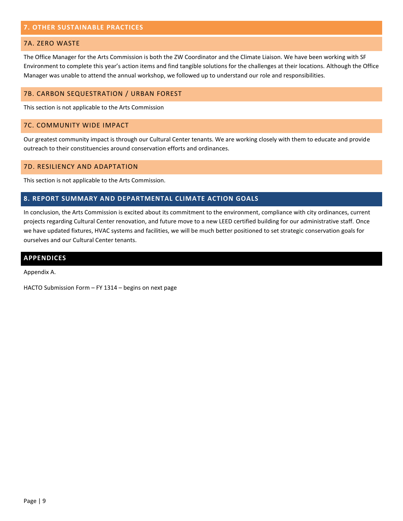#### **7. OTHER SUSTAINABLE PRACTICES**

#### <span id="page-10-0"></span>7A. ZERO WASTE

<span id="page-10-1"></span>The Office Manager for the Arts Commission is both the ZW Coordinator and the Climate Liaison. We have been working with SF Environment to complete this year's action items and find tangible solutions for the challenges at their locations. Although the Office Manager was unable to attend the annual workshop, we followed up to understand our role and responsibilities.

#### 7B. CARBON SEQUESTRATION / URBAN FOREST

<span id="page-10-2"></span>This section is not applicable to the Arts Commission

#### 7C. COMMUNITY WIDE IMPACT

<span id="page-10-3"></span>Our greatest community impact is through our Cultural Center tenants. We are working closely with them to educate and provide outreach to their constituencies around conservation efforts and ordinances.

#### 7D. RESILIENCY AND ADAPTATION

<span id="page-10-4"></span>This section is not applicable to the Arts Commission.

#### **8. REPORT SUMMARY AND DEPARTMENTAL CLIMATE ACTION GOALS**

<span id="page-10-5"></span>In conclusion, the Arts Commission is excited about its commitment to the environment, compliance with city ordinances, current projects regarding Cultural Center renovation, and future move to a new LEED certified building for our administrative staff. Once we have updated fixtures, HVAC systems and facilities, we will be much better positioned to set strategic conservation goals for ourselves and our Cultural Center tenants.

#### <span id="page-10-6"></span>**APPENDICES**

Appendix A.

HACTO Submission Form – FY 1314 – begins on next page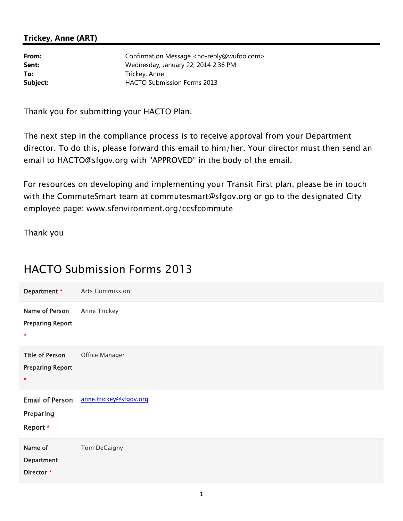# **Trickey, Anne (ART)**

**From:** Confirmation Message <no-reply@wufoo.com> **Sent:** Wednesday, January 22, 2014 2:36 PM To: Trickey, Anne **Subject:** HACTO Submission Forms 2013

Thank you for submitting your HACTO Plan.

The next step in the compliance process is to receive approval from your Department director. To do this, please forward this email to him/her. Your director must then send an email to HACTO@sfgov.org with "APPROVED" in the body of the email.

For resources on developing and implementing your Transit First plan, please be in touch with the CommuteSmart team at commutesmart@sfgov.org or go to the designated City employee page: www.sfenvironment.org/ccsfcommute

Thank you

# HACTO Submission Forms 2013

| Department *                                           | Arts Commission        |
|--------------------------------------------------------|------------------------|
| Name of Person<br><b>Preparing Report</b><br>$\star$   | Anne Trickey           |
| <b>Title of Person</b><br><b>Preparing Report</b><br>* | Office Manager         |
| <b>Email of Person</b><br>Preparing<br>Report *        | anne.trickey@sfgov.org |
| Name of<br><b>Department</b><br>Director *             | Tom DeCaigny           |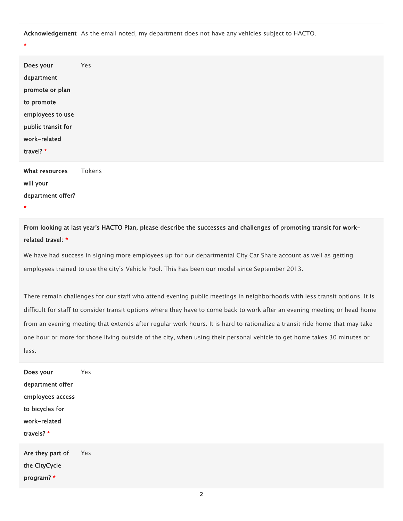**Acknowledgement**  $\,$  As the email noted, my department does not have any vehicles subject to HACTO.  $\,$ 

\*

| Does your<br>department<br>promote or plan<br>to promote<br>employees to use<br>public transit for<br>work-related<br>travel? * | Yes    |
|---------------------------------------------------------------------------------------------------------------------------------|--------|
| What resources<br>will your<br>department offer?<br>$\star$                                                                     | Tokens |

From looking at last year's HACTO Plan, please describe the successes and challenges of promoting transit for workrelated travel: \*

We have had success in signing more employees up for our departmental City Car Share account as well as getting employees trained to use the city's Vehicle Pool. This has been our model since September 2013.

There remain challenges for our staff who attend evening public meetings in neighborhoods with less transit options. It is difficult for staff to consider transit options where they have to come back to work after an evening meeting or head home from an evening meeting that extends after regular work hours. It is hard to rationalize a transit ride home that may take one hour or more for those living outside of the city, when using their personal vehicle to get home takes 30 minutes or less.

| Does your        | Υρς |
|------------------|-----|
| department offer |     |
| employees access |     |
| to bicycles for  |     |
| work-related     |     |
| travels? *       |     |
| Are they part of | Yes |
| the CityCycle    |     |

program? \*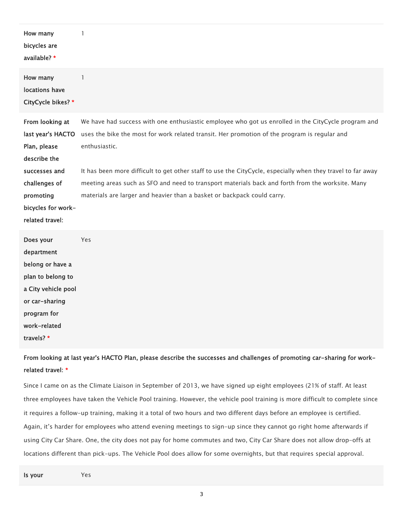| How many<br>bicycles are<br>available? *                                                                                                                     | 1                                                                                                                                                                                                                                                                                                                                                                                                                                                                                                                  |
|--------------------------------------------------------------------------------------------------------------------------------------------------------------|--------------------------------------------------------------------------------------------------------------------------------------------------------------------------------------------------------------------------------------------------------------------------------------------------------------------------------------------------------------------------------------------------------------------------------------------------------------------------------------------------------------------|
| How many<br>locations have<br>CityCycle bikes? *                                                                                                             | 1                                                                                                                                                                                                                                                                                                                                                                                                                                                                                                                  |
| From looking at<br>last year's HACTO<br>Plan, please<br>describe the<br>successes and<br>challenges of<br>promoting<br>bicycles for work-<br>related travel: | We have had success with one enthusiastic employee who got us enrolled in the CityCycle program and<br>uses the bike the most for work related transit. Her promotion of the program is regular and<br>enthusiastic.<br>It has been more difficult to get other staff to use the CityCycle, especially when they travel to far away<br>meeting areas such as SFO and need to transport materials back and forth from the worksite. Many<br>materials are larger and heavier than a basket or backpack could carry. |
| Does your<br>department<br>belong or have a<br>plan to belong to<br>a City vehicle pool<br>or car-sharing                                                    | Yes                                                                                                                                                                                                                                                                                                                                                                                                                                                                                                                |

travels? \*

program for work-related

From looking at last year's HACTO Plan, please describe the successes and challenges of promoting car-sharing for workrelated travel: \*

Since I came on as the Climate Liaison in September of 2013, we have signed up eight employees (21% of staff. At least three employees have taken the Vehicle Pool training. However, the vehicle pool training is more difficult to complete since it requires a follow-up training, making it a total of two hours and two different days before an employee is certified. Again, it's harder for employees who attend evening meetings to sign-up since they cannot go right home afterwards if using City Car Share. One, the city does not pay for home commutes and two, City Car Share does not allow drop-offs at locations different than pick-ups. The Vehicle Pool does allow for some overnights, but that requires special approval.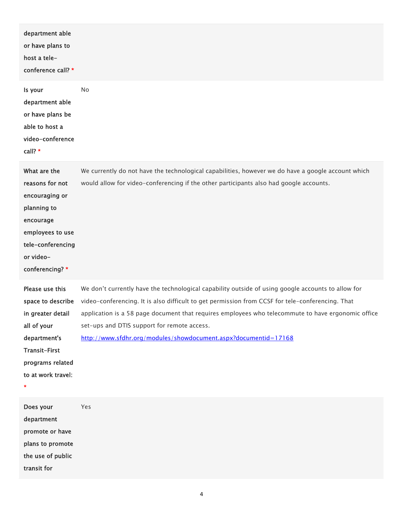| department able<br>or have plans to<br>host a tele-<br>conference call? *                                                                                |                                                                                                                                                                                                                                                                                                                                                                                                                                |
|----------------------------------------------------------------------------------------------------------------------------------------------------------|--------------------------------------------------------------------------------------------------------------------------------------------------------------------------------------------------------------------------------------------------------------------------------------------------------------------------------------------------------------------------------------------------------------------------------|
| Is your<br>department able<br>or have plans be<br>able to host a<br>video-conference<br>call? *                                                          | No                                                                                                                                                                                                                                                                                                                                                                                                                             |
| What are the<br>reasons for not<br>encouraging or<br>planning to<br>encourage<br>employees to use<br>tele-conferencing<br>or video-<br>conferencing? *   | We currently do not have the technological capabilities, however we do have a google account which<br>would allow for video-conferencing if the other participants also had google accounts.                                                                                                                                                                                                                                   |
| Please use this<br>space to describe<br>in greater detail<br>all of your<br>department's<br>Transit-First<br>programs related<br>to at work travel:<br>× | We don't currently have the technological capability outside of using google accounts to allow for<br>video-conferencing. It is also difficult to get permission from CCSF for tele-conferencing. That<br>application is a 58 page document that requires employees who telecommute to have ergonomic office<br>set-ups and DTIS support for remote access.<br>http://www.sfdhr.org/modules/showdocument.aspx?documentid=17168 |
| Does your<br>department<br>promote or have<br>plans to promote<br>the use of public<br>transit for                                                       | Yes                                                                                                                                                                                                                                                                                                                                                                                                                            |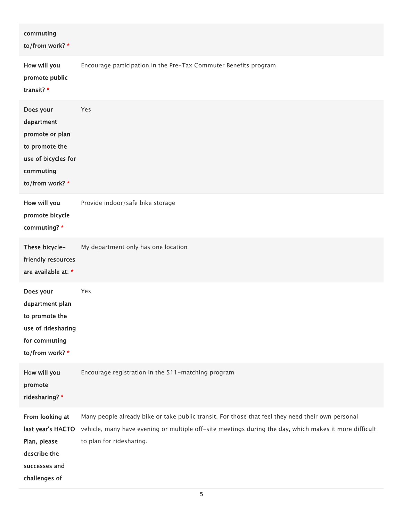| commuting<br>to/from work? *                                                                                        |                                                                                                                                                                                                                                         |
|---------------------------------------------------------------------------------------------------------------------|-----------------------------------------------------------------------------------------------------------------------------------------------------------------------------------------------------------------------------------------|
| How will you<br>promote public<br>transit? *                                                                        | Encourage participation in the Pre-Tax Commuter Benefits program                                                                                                                                                                        |
| Does your<br>department<br>promote or plan<br>to promote the<br>use of bicycles for<br>commuting<br>to/from work? * | Yes                                                                                                                                                                                                                                     |
| How will you<br>promote bicycle<br>commuting? *                                                                     | Provide indoor/safe bike storage                                                                                                                                                                                                        |
| These bicycle-<br>friendly resources<br>are available at: *                                                         | My department only has one location                                                                                                                                                                                                     |
| Does your<br>department plan<br>to promote the<br>use of ridesharing<br>for commuting<br>to/from work? *            | Yes                                                                                                                                                                                                                                     |
| How will you<br>promote<br>ridesharing? *                                                                           | Encourage registration in the 511-matching program                                                                                                                                                                                      |
| From looking at<br>last year's HACTO<br>Plan, please<br>describe the<br>successes and<br>challenges of              | Many people already bike or take public transit. For those that feel they need their own personal<br>vehicle, many have evening or multiple off-site meetings during the day, which makes it more difficult<br>to plan for ridesharing. |